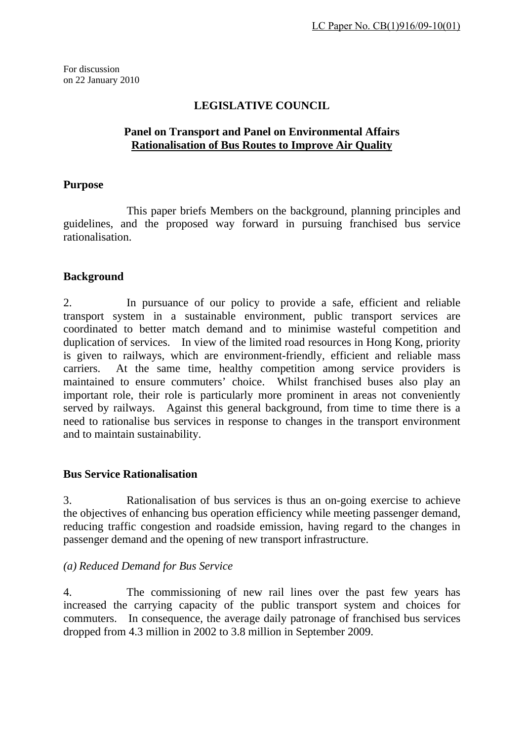For discussion on 22 January 2010

# **LEGISLATIVE COUNCIL**

### **Panel on Transport and Panel on Environmental Affairs Rationalisation of Bus Routes to Improve Air Quality**

#### **Purpose**

 This paper briefs Members on the background, planning principles and guidelines, and the proposed way forward in pursuing franchised bus service rationalisation.

## **Background**

2. In pursuance of our policy to provide a safe, efficient and reliable transport system in a sustainable environment, public transport services are coordinated to better match demand and to minimise wasteful competition and duplication of services. In view of the limited road resources in Hong Kong, priority is given to railways, which are environment-friendly, efficient and reliable mass carriers. At the same time, healthy competition among service providers is maintained to ensure commuters' choice. Whilst franchised buses also play an important role, their role is particularly more prominent in areas not conveniently served by railways. Against this general background, from time to time there is a need to rationalise bus services in response to changes in the transport environment and to maintain sustainability.

## **Bus Service Rationalisation**

3. Rationalisation of bus services is thus an on-going exercise to achieve the objectives of enhancing bus operation efficiency while meeting passenger demand, reducing traffic congestion and roadside emission, having regard to the changes in passenger demand and the opening of new transport infrastructure.

## *(a) Reduced Demand for Bus Service*

4. The commissioning of new rail lines over the past few years has increased the carrying capacity of the public transport system and choices for commuters. In consequence, the average daily patronage of franchised bus services dropped from 4.3 million in 2002 to 3.8 million in September 2009.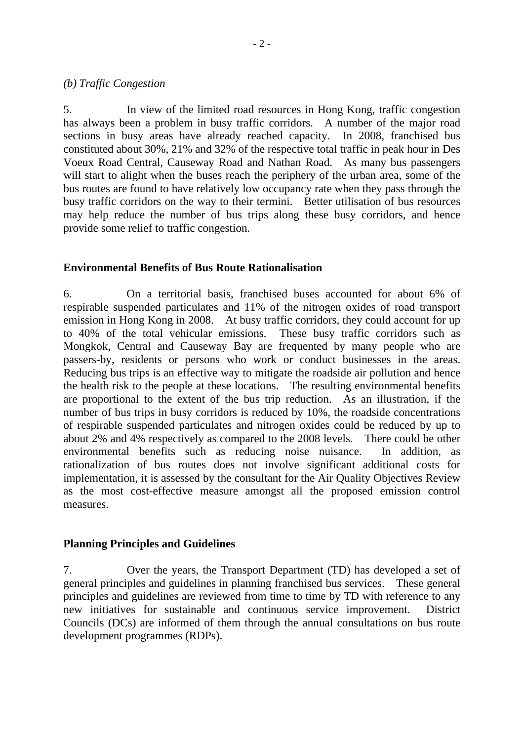#### *(b) Traffic Congestion*

5. In view of the limited road resources in Hong Kong, traffic congestion has always been a problem in busy traffic corridors. A number of the major road sections in busy areas have already reached capacity. In 2008, franchised bus constituted about 30%, 21% and 32% of the respective total traffic in peak hour in Des Voeux Road Central, Causeway Road and Nathan Road. As many bus passengers will start to alight when the buses reach the periphery of the urban area, some of the bus routes are found to have relatively low occupancy rate when they pass through the busy traffic corridors on the way to their termini. Better utilisation of bus resources may help reduce the number of bus trips along these busy corridors, and hence provide some relief to traffic congestion.

## **Environmental Benefits of Bus Route Rationalisation**

6. On a territorial basis, franchised buses accounted for about 6% of respirable suspended particulates and 11% of the nitrogen oxides of road transport emission in Hong Kong in 2008. At busy traffic corridors, they could account for up to 40% of the total vehicular emissions. These busy traffic corridors such as Mongkok, Central and Causeway Bay are frequented by many people who are passers-by, residents or persons who work or conduct businesses in the areas. Reducing bus trips is an effective way to mitigate the roadside air pollution and hence the health risk to the people at these locations. The resulting environmental benefits are proportional to the extent of the bus trip reduction. As an illustration, if the number of bus trips in busy corridors is reduced by 10%, the roadside concentrations of respirable suspended particulates and nitrogen oxides could be reduced by up to about 2% and 4% respectively as compared to the 2008 levels. There could be other environmental benefits such as reducing noise nuisance. In addition, as rationalization of bus routes does not involve significant additional costs for implementation, it is assessed by the consultant for the Air Quality Objectives Review as the most cost-effective measure amongst all the proposed emission control measures.

## **Planning Principles and Guidelines**

7. Over the years, the Transport Department (TD) has developed a set of general principles and guidelines in planning franchised bus services. These general principles and guidelines are reviewed from time to time by TD with reference to any new initiatives for sustainable and continuous service improvement. District Councils (DCs) are informed of them through the annual consultations on bus route development programmes (RDPs).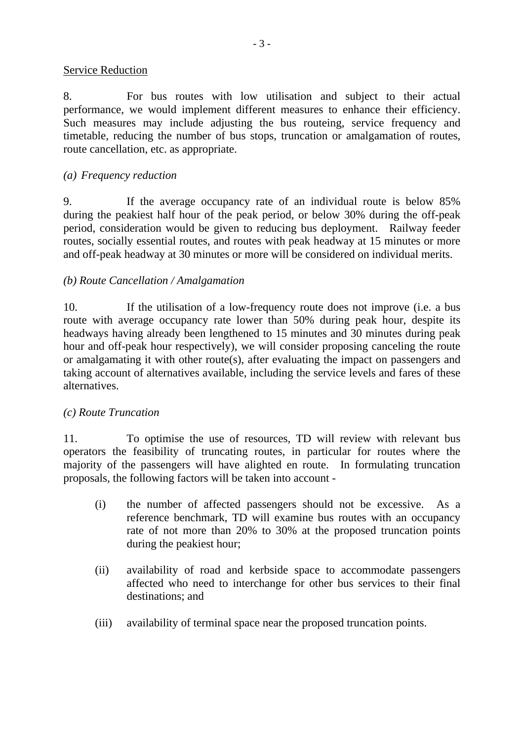### Service Reduction

8. For bus routes with low utilisation and subject to their actual performance, we would implement different measures to enhance their efficiency. Such measures may include adjusting the bus routeing, service frequency and timetable, reducing the number of bus stops, truncation or amalgamation of routes, route cancellation, etc. as appropriate.

### *(a) Frequency reduction*

9. If the average occupancy rate of an individual route is below 85% during the peakiest half hour of the peak period, or below 30% during the off-peak period, consideration would be given to reducing bus deployment. Railway feeder routes, socially essential routes, and routes with peak headway at 15 minutes or more and off-peak headway at 30 minutes or more will be considered on individual merits.

#### *(b) Route Cancellation / Amalgamation*

10. If the utilisation of a low-frequency route does not improve (i.e. a bus route with average occupancy rate lower than 50% during peak hour, despite its headways having already been lengthened to 15 minutes and 30 minutes during peak hour and off-peak hour respectively), we will consider proposing canceling the route or amalgamating it with other route(s), after evaluating the impact on passengers and taking account of alternatives available, including the service levels and fares of these alternatives.

## *(c) Route Truncation*

11. To optimise the use of resources, TD will review with relevant bus operators the feasibility of truncating routes, in particular for routes where the majority of the passengers will have alighted en route. In formulating truncation proposals, the following factors will be taken into account -

- (i) the number of affected passengers should not be excessive. As a reference benchmark, TD will examine bus routes with an occupancy rate of not more than 20% to 30% at the proposed truncation points during the peakiest hour;
- (ii) availability of road and kerbside space to accommodate passengers affected who need to interchange for other bus services to their final destinations; and
- (iii) availability of terminal space near the proposed truncation points.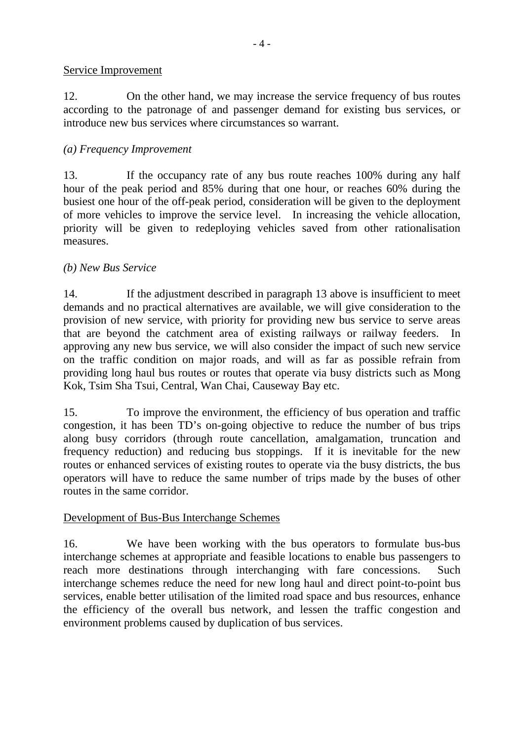### Service Improvement

12. On the other hand, we may increase the service frequency of bus routes according to the patronage of and passenger demand for existing bus services, or introduce new bus services where circumstances so warrant.

# *(a) Frequency Improvement*

13. If the occupancy rate of any bus route reaches 100% during any half hour of the peak period and 85% during that one hour, or reaches 60% during the busiest one hour of the off-peak period, consideration will be given to the deployment of more vehicles to improve the service level. In increasing the vehicle allocation, priority will be given to redeploying vehicles saved from other rationalisation measures.

## *(b) New Bus Service*

14. If the adjustment described in paragraph 13 above is insufficient to meet demands and no practical alternatives are available, we will give consideration to the provision of new service, with priority for providing new bus service to serve areas that are beyond the catchment area of existing railways or railway feeders. In approving any new bus service, we will also consider the impact of such new service on the traffic condition on major roads, and will as far as possible refrain from providing long haul bus routes or routes that operate via busy districts such as Mong Kok, Tsim Sha Tsui, Central, Wan Chai, Causeway Bay etc.

15. To improve the environment, the efficiency of bus operation and traffic congestion, it has been TD's on-going objective to reduce the number of bus trips along busy corridors (through route cancellation, amalgamation, truncation and frequency reduction) and reducing bus stoppings. If it is inevitable for the new routes or enhanced services of existing routes to operate via the busy districts, the bus operators will have to reduce the same number of trips made by the buses of other routes in the same corridor.

## Development of Bus-Bus Interchange Schemes

16. We have been working with the bus operators to formulate bus-bus interchange schemes at appropriate and feasible locations to enable bus passengers to reach more destinations through interchanging with fare concessions. Such interchange schemes reduce the need for new long haul and direct point-to-point bus services, enable better utilisation of the limited road space and bus resources, enhance the efficiency of the overall bus network, and lessen the traffic congestion and environment problems caused by duplication of bus services.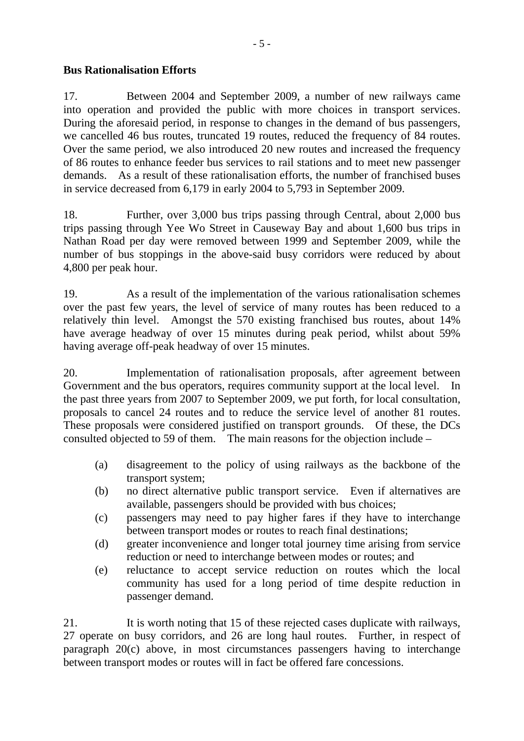# **Bus Rationalisation Efforts**

17. Between 2004 and September 2009, a number of new railways came into operation and provided the public with more choices in transport services. During the aforesaid period, in response to changes in the demand of bus passengers, we cancelled 46 bus routes, truncated 19 routes, reduced the frequency of 84 routes. Over the same period, we also introduced 20 new routes and increased the frequency of 86 routes to enhance feeder bus services to rail stations and to meet new passenger demands. As a result of these rationalisation efforts, the number of franchised buses in service decreased from 6,179 in early 2004 to 5,793 in September 2009.

18. Further, over 3,000 bus trips passing through Central, about 2,000 bus trips passing through Yee Wo Street in Causeway Bay and about 1,600 bus trips in Nathan Road per day were removed between 1999 and September 2009, while the number of bus stoppings in the above-said busy corridors were reduced by about 4,800 per peak hour.

19. As a result of the implementation of the various rationalisation schemes over the past few years, the level of service of many routes has been reduced to a relatively thin level. Amongst the 570 existing franchised bus routes, about 14% have average headway of over 15 minutes during peak period, whilst about 59% having average off-peak headway of over 15 minutes.

20. Implementation of rationalisation proposals, after agreement between Government and the bus operators, requires community support at the local level. In the past three years from 2007 to September 2009, we put forth, for local consultation, proposals to cancel 24 routes and to reduce the service level of another 81 routes. These proposals were considered justified on transport grounds. Of these, the DCs consulted objected to 59 of them. The main reasons for the objection include –

- (a) disagreement to the policy of using railways as the backbone of the transport system;
- (b) no direct alternative public transport service. Even if alternatives are available, passengers should be provided with bus choices;
- (c) passengers may need to pay higher fares if they have to interchange between transport modes or routes to reach final destinations;
- (d) greater inconvenience and longer total journey time arising from service reduction or need to interchange between modes or routes; and
- (e) reluctance to accept service reduction on routes which the local community has used for a long period of time despite reduction in passenger demand.

21. It is worth noting that 15 of these rejected cases duplicate with railways, 27 operate on busy corridors, and 26 are long haul routes. Further, in respect of paragraph 20(c) above, in most circumstances passengers having to interchange between transport modes or routes will in fact be offered fare concessions.